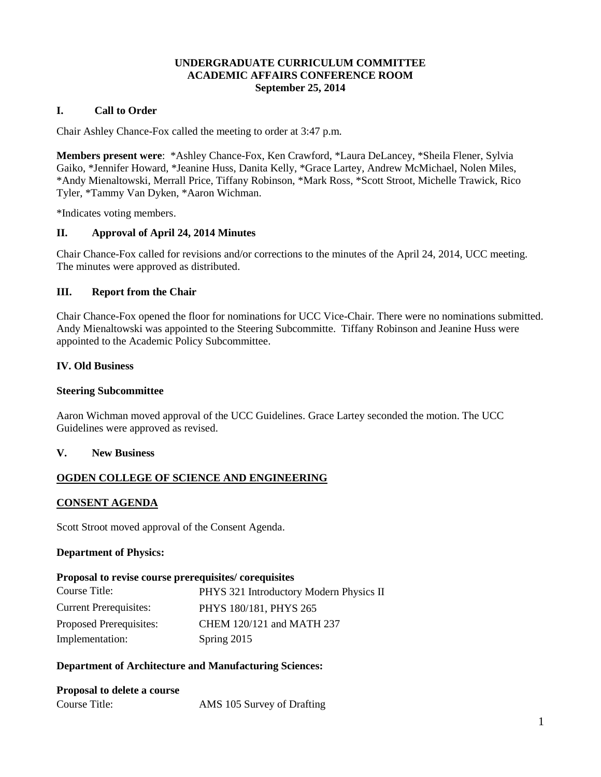## **UNDERGRADUATE CURRICULUM COMMITTEE ACADEMIC AFFAIRS CONFERENCE ROOM September 25, 2014**

## **I. Call to Order**

Chair Ashley Chance-Fox called the meeting to order at 3:47 p.m.

**Members present were**: \*Ashley Chance-Fox, Ken Crawford, \*Laura DeLancey, \*Sheila Flener, Sylvia Gaiko, \*Jennifer Howard, \*Jeanine Huss, Danita Kelly, \*Grace Lartey, Andrew McMichael, Nolen Miles, \*Andy Mienaltowski, Merrall Price, Tiffany Robinson, \*Mark Ross, \*Scott Stroot, Michelle Trawick, Rico Tyler, \*Tammy Van Dyken, \*Aaron Wichman.

\*Indicates voting members.

#### **II. Approval of April 24, 2014 Minutes**

Chair Chance-Fox called for revisions and/or corrections to the minutes of the April 24, 2014, UCC meeting. The minutes were approved as distributed.

#### **III. Report from the Chair**

Chair Chance-Fox opened the floor for nominations for UCC Vice-Chair. There were no nominations submitted. Andy Mienaltowski was appointed to the Steering Subcommitte. Tiffany Robinson and Jeanine Huss were appointed to the Academic Policy Subcommittee.

#### **IV. Old Business**

#### **Steering Subcommittee**

Aaron Wichman moved approval of the UCC Guidelines. Grace Lartey seconded the motion. The UCC Guidelines were approved as revised.

#### **V. New Business**

#### **OGDEN COLLEGE OF SCIENCE AND ENGINEERING**

#### **CONSENT AGENDA**

Scott Stroot moved approval of the Consent Agenda.

#### **Department of Physics:**

#### **Proposal to revise course prerequisites/ corequisites**

| Course Title:                 | PHYS 321 Introductory Modern Physics II |
|-------------------------------|-----------------------------------------|
| <b>Current Prerequisites:</b> | PHYS 180/181, PHYS 265                  |
| Proposed Prerequisites:       | CHEM 120/121 and MATH 237               |
| Implementation:               | Spring 2015                             |

#### **Department of Architecture and Manufacturing Sciences:**

#### **Proposal to delete a course**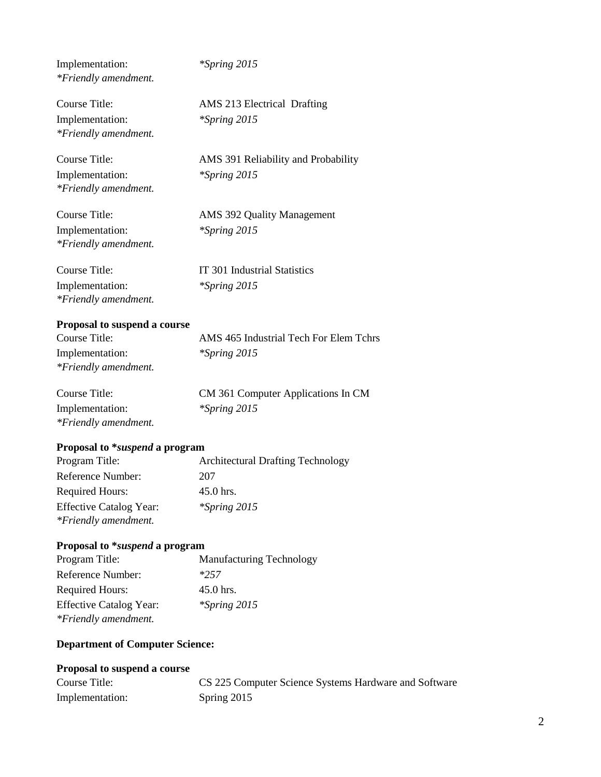# Implementation: *\*Spring 2015 \*Friendly amendment.*

Course Title: AMS 213 Electrical Drafting Implementation: *\*Spring 2015 \*Friendly amendment.*

Implementation: *\*Spring 2015 \*Friendly amendment.*

Course Title: AMS 391 Reliability and Probability

Implementation: *\*Spring 2015 \*Friendly amendment.*

Course Title: AMS 392 Quality Management

| Course Title:        | IT 301 Industrial Statistics |
|----------------------|------------------------------|
| Implementation:      | $*$ Spring 2015              |
| *Friendly amendment. |                              |

#### **Proposal to suspend a course**

| Course Title:        | AMS 465 Industrial Tech For Elem Tchrs |
|----------------------|----------------------------------------|
| Implementation:      | $*$ Spring 2015                        |
| *Friendly amendment. |                                        |

| Course Title:        | CM 361 Computer Applications In CM |
|----------------------|------------------------------------|
| Implementation:      | $*$ Spring 2015                    |
| *Friendly amendment. |                                    |

#### **Proposal to \****suspend* **a program**

| Program Title:                 | <b>Architectural Drafting Technology</b> |
|--------------------------------|------------------------------------------|
| Reference Number:              | 207                                      |
| <b>Required Hours:</b>         | 45.0 hrs.                                |
| <b>Effective Catalog Year:</b> | $*$ Spring 2015                          |
| *Friendly amendment.           |                                          |

# **Proposal to \****suspend* **a program**

| Program Title:                 | <b>Manufacturing Technology</b> |
|--------------------------------|---------------------------------|
| Reference Number:              | $*257$                          |
| <b>Required Hours:</b>         | 45.0 hrs.                       |
| <b>Effective Catalog Year:</b> | $*$ Spring 2015                 |
| *Friendly amendment.           |                                 |

# **Department of Computer Science:**

#### **Proposal to suspend a course**

| Course Title:   | CS 225 Computer Science Systems Hardware and Software |
|-----------------|-------------------------------------------------------|
| Implementation: | Spring 2015                                           |

2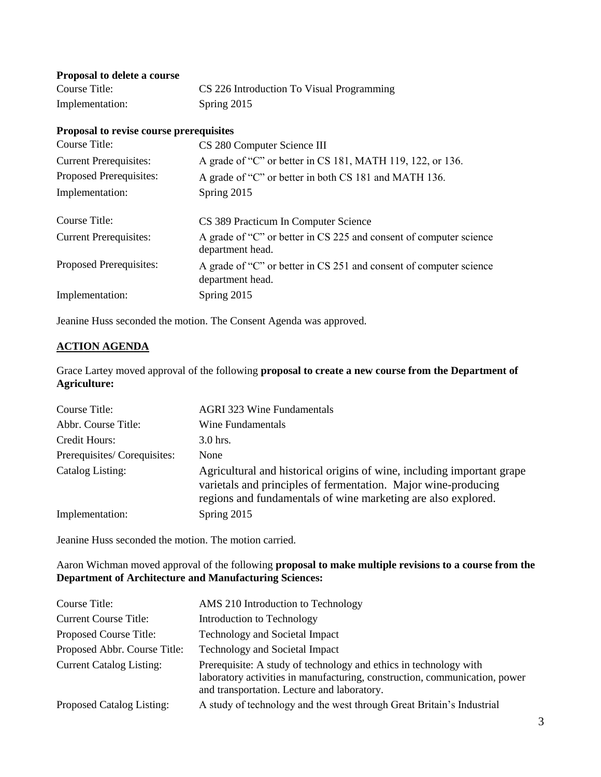#### **Proposal to delete a course**

| Course Title:   | CS 226 Introduction To Visual Programming |
|-----------------|-------------------------------------------|
| Implementation: | Spring 2015                               |

## **Proposal to revise course prerequisites**

| Course Title:                 | CS 280 Computer Science III                                                            |
|-------------------------------|----------------------------------------------------------------------------------------|
| <b>Current Prerequisites:</b> | A grade of "C" or better in CS 181, MATH 119, 122, or 136.                             |
| Proposed Prerequisites:       | A grade of "C" or better in both CS 181 and MATH 136.                                  |
| Implementation:               | Spring 2015                                                                            |
| Course Title:                 | CS 389 Practicum In Computer Science                                                   |
| <b>Current Prerequisites:</b> | A grade of "C" or better in CS 225 and consent of computer science<br>department head. |
| Proposed Prerequisites:       | A grade of "C" or better in CS 251 and consent of computer science<br>department head. |
| Implementation:               | Spring 2015                                                                            |

Jeanine Huss seconded the motion. The Consent Agenda was approved.

# **ACTION AGENDA**

Grace Lartey moved approval of the following **proposal to create a new course from the Department of Agriculture:**

| Course Title:               | <b>AGRI 323 Wine Fundamentals</b>                                                                                                                                                                         |
|-----------------------------|-----------------------------------------------------------------------------------------------------------------------------------------------------------------------------------------------------------|
| Abbr. Course Title:         | Wine Fundamentals                                                                                                                                                                                         |
| Credit Hours:               | $3.0$ hrs.                                                                                                                                                                                                |
| Prerequisites/Corequisites: | None                                                                                                                                                                                                      |
| Catalog Listing:            | Agricultural and historical origins of wine, including important grape<br>varietals and principles of fermentation. Major wine-producing<br>regions and fundamentals of wine marketing are also explored. |
| Implementation:             | Spring 2015                                                                                                                                                                                               |

Jeanine Huss seconded the motion. The motion carried.

Aaron Wichman moved approval of the following **proposal to make multiple revisions to a course from the Department of Architecture and Manufacturing Sciences:**

| Course Title:                   | AMS 210 Introduction to Technology                                                                                                                                                             |
|---------------------------------|------------------------------------------------------------------------------------------------------------------------------------------------------------------------------------------------|
| <b>Current Course Title:</b>    | Introduction to Technology                                                                                                                                                                     |
| Proposed Course Title:          | <b>Technology and Societal Impact</b>                                                                                                                                                          |
| Proposed Abbr. Course Title:    | <b>Technology and Societal Impact</b>                                                                                                                                                          |
| <b>Current Catalog Listing:</b> | Prerequisite: A study of technology and ethics in technology with<br>laboratory activities in manufacturing, construction, communication, power<br>and transportation. Lecture and laboratory. |
| Proposed Catalog Listing:       | A study of technology and the west through Great Britain's Industrial                                                                                                                          |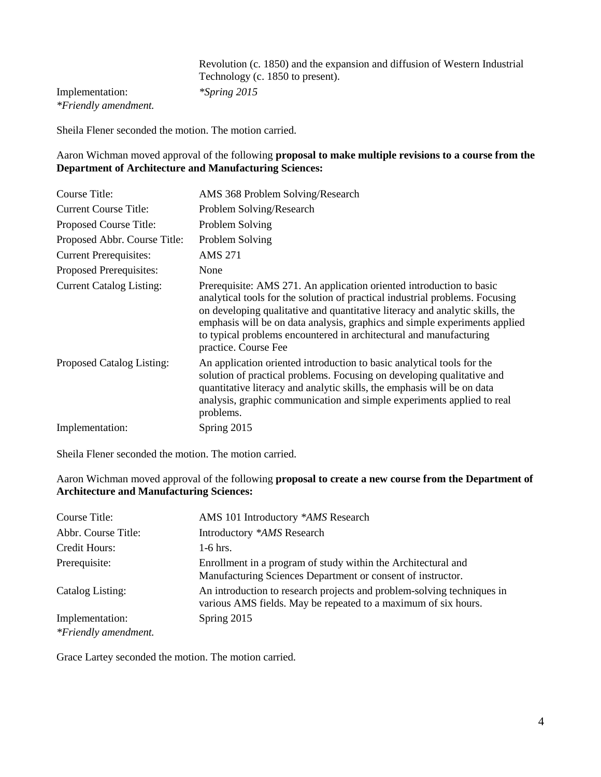Revolution (c. 1850) and the expansion and diffusion of Western Industrial Technology (c. 1850 to present).

Implementation: *\*Spring 2015 \*Friendly amendment.*

Sheila Flener seconded the motion. The motion carried.

## Aaron Wichman moved approval of the following **proposal to make multiple revisions to a course from the Department of Architecture and Manufacturing Sciences:**

| Course Title:                   | AMS 368 Problem Solving/Research                                                                                                                                                                                                                                                                                                                                                                                 |
|---------------------------------|------------------------------------------------------------------------------------------------------------------------------------------------------------------------------------------------------------------------------------------------------------------------------------------------------------------------------------------------------------------------------------------------------------------|
| <b>Current Course Title:</b>    | Problem Solving/Research                                                                                                                                                                                                                                                                                                                                                                                         |
| Proposed Course Title:          | Problem Solving                                                                                                                                                                                                                                                                                                                                                                                                  |
| Proposed Abbr. Course Title:    | Problem Solving                                                                                                                                                                                                                                                                                                                                                                                                  |
| <b>Current Prerequisites:</b>   | <b>AMS 271</b>                                                                                                                                                                                                                                                                                                                                                                                                   |
| Proposed Prerequisites:         | None                                                                                                                                                                                                                                                                                                                                                                                                             |
| <b>Current Catalog Listing:</b> | Prerequisite: AMS 271. An application oriented introduction to basic<br>analytical tools for the solution of practical industrial problems. Focusing<br>on developing qualitative and quantitative literacy and analytic skills, the<br>emphasis will be on data analysis, graphics and simple experiments applied<br>to typical problems encountered in architectural and manufacturing<br>practice. Course Fee |
| Proposed Catalog Listing:       | An application oriented introduction to basic analytical tools for the<br>solution of practical problems. Focusing on developing qualitative and<br>quantitative literacy and analytic skills, the emphasis will be on data<br>analysis, graphic communication and simple experiments applied to real<br>problems.                                                                                               |
| Implementation:                 | Spring 2015                                                                                                                                                                                                                                                                                                                                                                                                      |

Sheila Flener seconded the motion. The motion carried.

## Aaron Wichman moved approval of the following **proposal to create a new course from the Department of Architecture and Manufacturing Sciences:**

| Course Title:        | AMS 101 Introductory *AMS Research                                                                                                       |
|----------------------|------------------------------------------------------------------------------------------------------------------------------------------|
| Abbr. Course Title:  | Introductory *AMS Research                                                                                                               |
| Credit Hours:        | $1-6$ hrs.                                                                                                                               |
| Prerequisite:        | Enrollment in a program of study within the Architectural and<br>Manufacturing Sciences Department or consent of instructor.             |
| Catalog Listing:     | An introduction to research projects and problem-solving techniques in<br>various AMS fields. May be repeated to a maximum of six hours. |
| Implementation:      | Spring 2015                                                                                                                              |
| *Friendly amendment. |                                                                                                                                          |

Grace Lartey seconded the motion. The motion carried.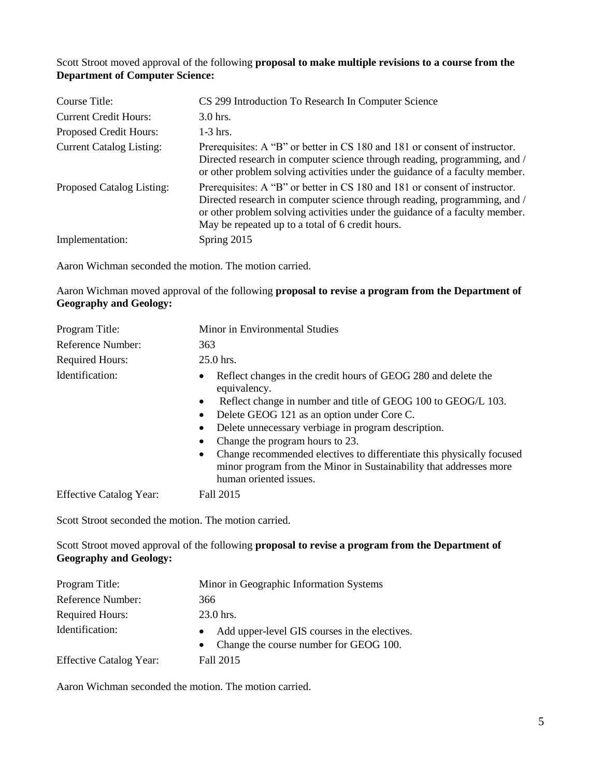## Scott Stroot moved approval of the following **proposal to make multiple revisions to a course from the Department of Computer Science:**

| Course Title:                   | CS 299 Introduction To Research In Computer Science                                                                                                                                                                                                                                        |
|---------------------------------|--------------------------------------------------------------------------------------------------------------------------------------------------------------------------------------------------------------------------------------------------------------------------------------------|
| <b>Current Credit Hours:</b>    | $3.0$ hrs.                                                                                                                                                                                                                                                                                 |
| Proposed Credit Hours:          | $1-3$ hrs.                                                                                                                                                                                                                                                                                 |
| <b>Current Catalog Listing:</b> | Prerequisites: A "B" or better in CS 180 and 181 or consent of instructor.<br>Directed research in computer science through reading, programming, and /<br>or other problem solving activities under the guidance of a faculty member.                                                     |
| Proposed Catalog Listing:       | Prerequisites: A "B" or better in CS 180 and 181 or consent of instructor.<br>Directed research in computer science through reading, programming, and /<br>or other problem solving activities under the guidance of a faculty member.<br>May be repeated up to a total of 6 credit hours. |
| Implementation:                 | Spring 2015                                                                                                                                                                                                                                                                                |

Aaron Wichman seconded the motion. The motion carried.

Aaron Wichman moved approval of the following **proposal to revise a program from the Department of Geography and Geology:**

| Program Title:                 | Minor in Environmental Studies                                                                                                                                                                                                                                                                                                                                                                                                                                                                                            |
|--------------------------------|---------------------------------------------------------------------------------------------------------------------------------------------------------------------------------------------------------------------------------------------------------------------------------------------------------------------------------------------------------------------------------------------------------------------------------------------------------------------------------------------------------------------------|
| Reference Number:              | 363                                                                                                                                                                                                                                                                                                                                                                                                                                                                                                                       |
| <b>Required Hours:</b>         | 25.0 hrs.                                                                                                                                                                                                                                                                                                                                                                                                                                                                                                                 |
| Identification:                | Reflect changes in the credit hours of GEOG 280 and delete the<br>$\bullet$<br>equivalency.<br>Reflect change in number and title of GEOG 100 to GEOG/L 103.<br>$\bullet$<br>Delete GEOG 121 as an option under Core C.<br>$\bullet$<br>Delete unnecessary verbiage in program description.<br>Change the program hours to 23.<br>$\bullet$<br>Change recommended electives to differentiate this physically focused<br>٠<br>minor program from the Minor in Sustainability that addresses more<br>human oriented issues. |
| <b>Effective Catalog Year:</b> | Fall 2015                                                                                                                                                                                                                                                                                                                                                                                                                                                                                                                 |

Scott Stroot seconded the motion. The motion carried.

Scott Stroot moved approval of the following **proposal to revise a program from the Department of Geography and Geology:**

| Program Title:                 | Minor in Geographic Information Systems                                                              |
|--------------------------------|------------------------------------------------------------------------------------------------------|
| Reference Number:              | 366                                                                                                  |
| <b>Required Hours:</b>         | 23.0 hrs.                                                                                            |
| Identification:                | Add upper-level GIS courses in the electives.<br>Change the course number for GEOG 100.<br>$\bullet$ |
| <b>Effective Catalog Year:</b> | Fall 2015                                                                                            |

Aaron Wichman seconded the motion. The motion carried.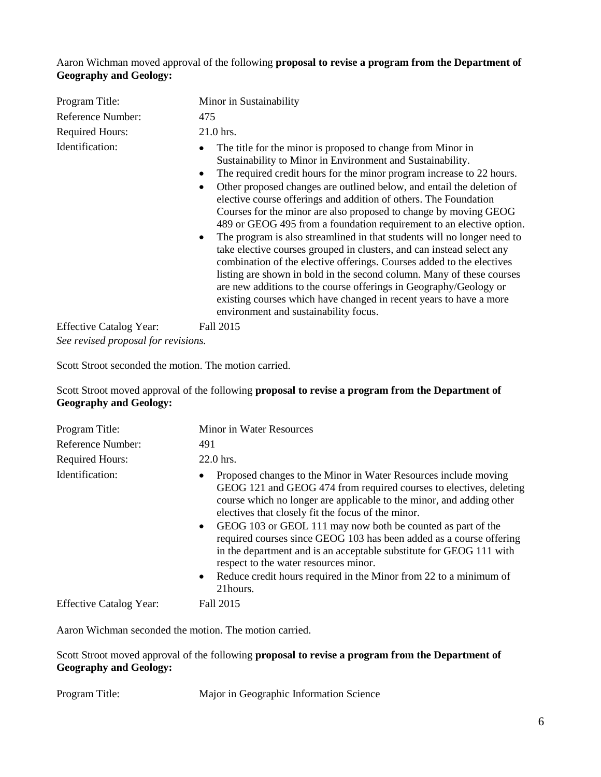Aaron Wichman moved approval of the following **proposal to revise a program from the Department of Geography and Geology:**

| Program Title:                 | Minor in Sustainability                                                                                                                                                                                                                                                                                                                                                                                                                                                                                                                                                                                                                                                                                                                                                                                                                                                                                                                                                                                                      |
|--------------------------------|------------------------------------------------------------------------------------------------------------------------------------------------------------------------------------------------------------------------------------------------------------------------------------------------------------------------------------------------------------------------------------------------------------------------------------------------------------------------------------------------------------------------------------------------------------------------------------------------------------------------------------------------------------------------------------------------------------------------------------------------------------------------------------------------------------------------------------------------------------------------------------------------------------------------------------------------------------------------------------------------------------------------------|
| Reference Number:              | 475                                                                                                                                                                                                                                                                                                                                                                                                                                                                                                                                                                                                                                                                                                                                                                                                                                                                                                                                                                                                                          |
| <b>Required Hours:</b>         | 21.0 hrs.                                                                                                                                                                                                                                                                                                                                                                                                                                                                                                                                                                                                                                                                                                                                                                                                                                                                                                                                                                                                                    |
| Identification:                | The title for the minor is proposed to change from Minor in<br>Sustainability to Minor in Environment and Sustainability.<br>The required credit hours for the minor program increase to 22 hours.<br>$\bullet$<br>Other proposed changes are outlined below, and entail the deletion of<br>$\bullet$<br>elective course offerings and addition of others. The Foundation<br>Courses for the minor are also proposed to change by moving GEOG<br>489 or GEOG 495 from a foundation requirement to an elective option.<br>The program is also streamlined in that students will no longer need to<br>$\bullet$<br>take elective courses grouped in clusters, and can instead select any<br>combination of the elective offerings. Courses added to the electives<br>listing are shown in bold in the second column. Many of these courses<br>are new additions to the course offerings in Geography/Geology or<br>existing courses which have changed in recent years to have a more<br>environment and sustainability focus. |
| <b>Effective Catalog Year:</b> | Fall 2015                                                                                                                                                                                                                                                                                                                                                                                                                                                                                                                                                                                                                                                                                                                                                                                                                                                                                                                                                                                                                    |

*See revised proposal for revisions.*

Scott Stroot seconded the motion. The motion carried.

Scott Stroot moved approval of the following **proposal to revise a program from the Department of Geography and Geology:**

| Program Title:                 | Minor in Water Resources                                                                                                                                                                                                                                                                                                                                                                                                                                                                                                                                                                                                  |
|--------------------------------|---------------------------------------------------------------------------------------------------------------------------------------------------------------------------------------------------------------------------------------------------------------------------------------------------------------------------------------------------------------------------------------------------------------------------------------------------------------------------------------------------------------------------------------------------------------------------------------------------------------------------|
| Reference Number:              | 491                                                                                                                                                                                                                                                                                                                                                                                                                                                                                                                                                                                                                       |
| <b>Required Hours:</b>         | 22.0 hrs.                                                                                                                                                                                                                                                                                                                                                                                                                                                                                                                                                                                                                 |
| Identification:                | Proposed changes to the Minor in Water Resources include moving<br>GEOG 121 and GEOG 474 from required courses to electives, deleting<br>course which no longer are applicable to the minor, and adding other<br>electives that closely fit the focus of the minor.<br>• GEOG 103 or GEOL 111 may now both be counted as part of the<br>required courses since GEOG 103 has been added as a course offering<br>in the department and is an acceptable substitute for GEOG 111 with<br>respect to the water resources minor.<br>Reduce credit hours required in the Minor from 22 to a minimum of<br>$\bullet$<br>21hours. |
| <b>Effective Catalog Year:</b> | Fall 2015                                                                                                                                                                                                                                                                                                                                                                                                                                                                                                                                                                                                                 |

Aaron Wichman seconded the motion. The motion carried.

Scott Stroot moved approval of the following **proposal to revise a program from the Department of Geography and Geology:**

Program Title: Major in Geographic Information Science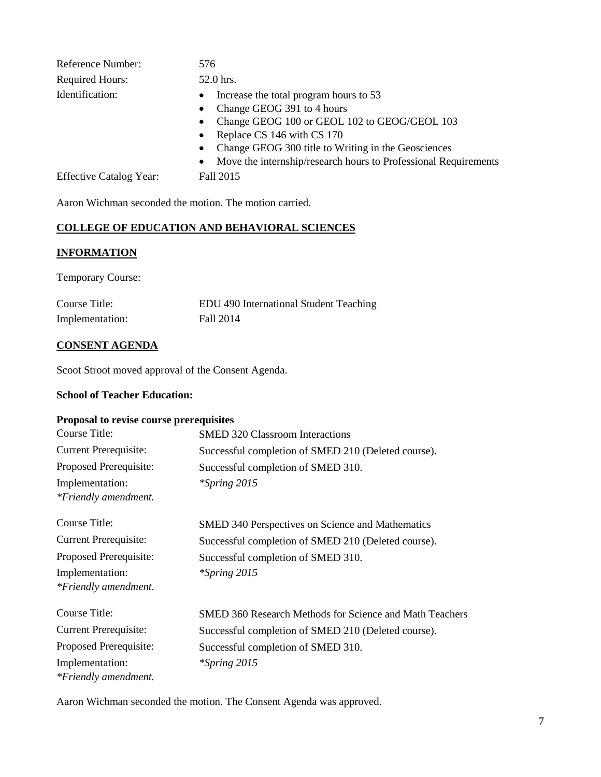| Reference Number:              | 576                                                                                                                                                                                                                                                      |
|--------------------------------|----------------------------------------------------------------------------------------------------------------------------------------------------------------------------------------------------------------------------------------------------------|
| <b>Required Hours:</b>         | 52.0 hrs.                                                                                                                                                                                                                                                |
| Identification:                | Increase the total program hours to 53<br>Change GEOG 391 to 4 hours<br>$\bullet$                                                                                                                                                                        |
|                                | Change GEOG 100 or GEOL 102 to GEOG/GEOL 103<br>$\bullet$<br>Replace CS 146 with CS 170<br>$\bullet$<br>Change GEOG 300 title to Writing in the Geosciences<br>$\bullet$<br>Move the internship/research hours to Professional Requirements<br>$\bullet$ |
| <b>Effective Catalog Year:</b> | Fall 2015                                                                                                                                                                                                                                                |

Aaron Wichman seconded the motion. The motion carried.

## **COLLEGE OF EDUCATION AND BEHAVIORAL SCIENCES**

# **INFORMATION**

Temporary Course:

| Course Title:   | EDU 490 International Student Teaching |
|-----------------|----------------------------------------|
| Implementation: | Fall 2014                              |

# **CONSENT AGENDA**

Scoot Stroot moved approval of the Consent Agenda.

# **School of Teacher Education:**

#### **Proposal to revise course prerequisites**

| Course Title:                           | <b>SMED 320 Classroom Interactions</b>              |
|-----------------------------------------|-----------------------------------------------------|
| <b>Current Prerequisite:</b>            | Successful completion of SMED 210 (Deleted course). |
| Proposed Prerequisite:                  | Successful completion of SMED 310.                  |
| Implementation:<br>*Friendly amendment. | $*$ Spring 2015                                     |
| Course Title:                           | SMED 340 Perspectives on Science and Mathematics    |

| COUIDE THE.            | SIMED 340 FEISPECTIVES ON SCIENCE and Mathematics   |
|------------------------|-----------------------------------------------------|
| Current Prerequisite:  | Successful completion of SMED 210 (Deleted course). |
| Proposed Prerequisite: | Successful completion of SMED 310.                  |
| Implementation:        | $*$ Spring 2015                                     |
| *Friendly amendment.   |                                                     |
|                        |                                                     |

| Course Title:                | SMED 360 Research Methods for Science and Math Teachers |
|------------------------------|---------------------------------------------------------|
| <b>Current Prerequisite:</b> | Successful completion of SMED 210 (Deleted course).     |
| Proposed Prerequisite:       | Successful completion of SMED 310.                      |
| Implementation:              | *Spring $2015$                                          |
| *Friendly amendment.         |                                                         |

Aaron Wichman seconded the motion. The Consent Agenda was approved.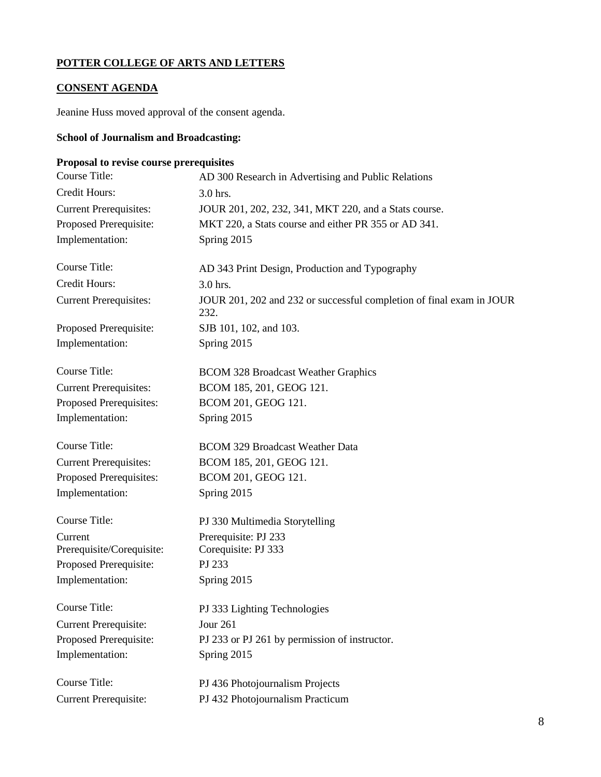# **POTTER COLLEGE OF ARTS AND LETTERS**

# **CONSENT AGENDA**

Jeanine Huss moved approval of the consent agenda.

# **School of Journalism and Broadcasting:**

# **Proposal to revise course prerequisites**

| Course Title:                 | AD 300 Research in Advertising and Public Relations                          |
|-------------------------------|------------------------------------------------------------------------------|
| Credit Hours:                 | 3.0 hrs.                                                                     |
| <b>Current Prerequisites:</b> | JOUR 201, 202, 232, 341, MKT 220, and a Stats course.                        |
| Proposed Prerequisite:        | MKT 220, a Stats course and either PR 355 or AD 341.                         |
| Implementation:               | Spring 2015                                                                  |
| Course Title:                 | AD 343 Print Design, Production and Typography                               |
| Credit Hours:                 | 3.0 hrs.                                                                     |
| <b>Current Prerequisites:</b> | JOUR 201, 202 and 232 or successful completion of final exam in JOUR<br>232. |
| Proposed Prerequisite:        | SJB 101, 102, and 103.                                                       |
| Implementation:               | Spring 2015                                                                  |
| <b>Course Title:</b>          | <b>BCOM 328 Broadcast Weather Graphics</b>                                   |
| <b>Current Prerequisites:</b> | BCOM 185, 201, GEOG 121.                                                     |
| Proposed Prerequisites:       | BCOM 201, GEOG 121.                                                          |
| Implementation:               | Spring 2015                                                                  |
| Course Title:                 | <b>BCOM 329 Broadcast Weather Data</b>                                       |
| <b>Current Prerequisites:</b> | BCOM 185, 201, GEOG 121.                                                     |
| Proposed Prerequisites:       | BCOM 201, GEOG 121.                                                          |
| Implementation:               | Spring 2015                                                                  |
| Course Title:                 | PJ 330 Multimedia Storytelling                                               |
| Current                       | Prerequisite: PJ 233                                                         |
| Prerequisite/Corequisite:     | Corequisite: PJ 333                                                          |
| Proposed Prerequisite:        | PJ 233                                                                       |
| Implementation:               | Spring 2015                                                                  |
| Course Title:                 | PJ 333 Lighting Technologies                                                 |
| <b>Current Prerequisite:</b>  | <b>Jour 261</b>                                                              |
| Proposed Prerequisite:        | PJ 233 or PJ 261 by permission of instructor.                                |
| Implementation:               | Spring 2015                                                                  |
| <b>Course Title:</b>          | PJ 436 Photojournalism Projects                                              |
| <b>Current Prerequisite:</b>  | PJ 432 Photojournalism Practicum                                             |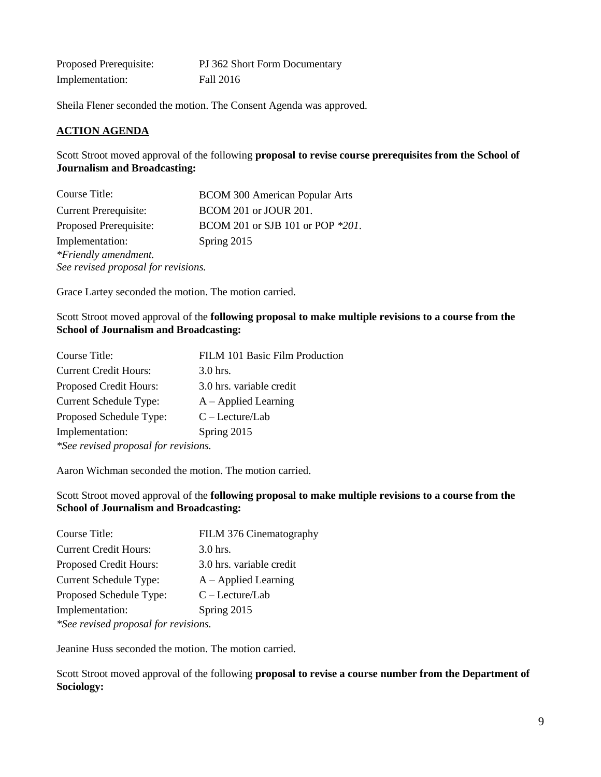| Proposed Prerequisite: | PJ 362 Short Form Documentary |
|------------------------|-------------------------------|
| Implementation:        | Fall 2016                     |

Sheila Flener seconded the motion. The Consent Agenda was approved.

## **ACTION AGENDA**

Scott Stroot moved approval of the following **proposal to revise course prerequisites from the School of Journalism and Broadcasting:**

| Course Title:                       | <b>BCOM 300 American Popular Arts</b> |
|-------------------------------------|---------------------------------------|
| <b>Current Prerequisite:</b>        | BCOM 201 or JOUR 201.                 |
| Proposed Prerequisite:              | BCOM 201 or SJB 101 or POP *201.      |
| Implementation:                     | Spring 2015                           |
| *Friendly amendment.                |                                       |
| See revised proposal for revisions. |                                       |

Grace Lartey seconded the motion. The motion carried.

Scott Stroot moved approval of the **following proposal to make multiple revisions to a course from the School of Journalism and Broadcasting:**

| Course Title:                        | FILM 101 Basic Film Production |
|--------------------------------------|--------------------------------|
| <b>Current Credit Hours:</b>         | $3.0$ hrs.                     |
| Proposed Credit Hours:               | 3.0 hrs. variable credit       |
| Current Schedule Type:               | $A - Applied Learning$         |
| Proposed Schedule Type:              | $C - Lecture/Lab$              |
| Implementation:                      | Spring 2015                    |
| *See revised proposal for revisions. |                                |

Aaron Wichman seconded the motion. The motion carried.

Scott Stroot moved approval of the **following proposal to make multiple revisions to a course from the School of Journalism and Broadcasting:**

| Course Title:                        | FILM 376 Cinematography       |
|--------------------------------------|-------------------------------|
| <b>Current Credit Hours:</b>         | 3.0 hrs.                      |
| Proposed Credit Hours:               | 3.0 hrs. variable credit      |
| <b>Current Schedule Type:</b>        | $A - \text{Applied Learning}$ |
| Proposed Schedule Type:              | $C - Lecture/Lab$             |
| Implementation:                      | Spring 2015                   |
| *See revised proposal for revisions. |                               |

Jeanine Huss seconded the motion. The motion carried.

Scott Stroot moved approval of the following **proposal to revise a course number from the Department of Sociology:**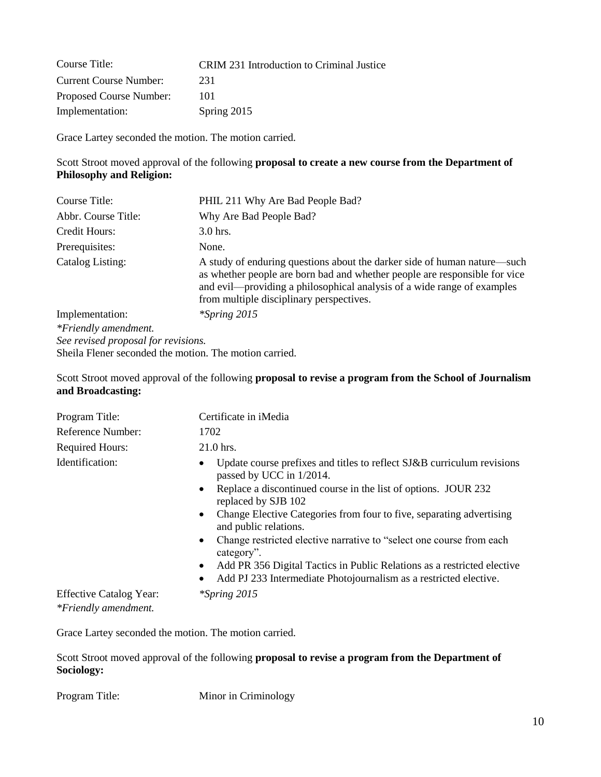| Course Title:           | CRIM 231 Introduction to Criminal Justice |
|-------------------------|-------------------------------------------|
| Current Course Number:  | 231                                       |
| Proposed Course Number: | 101                                       |
| Implementation:         | Spring 2015                               |

Grace Lartey seconded the motion. The motion carried.

# Scott Stroot moved approval of the following **proposal to create a new course from the Department of Philosophy and Religion:**

| Course Title:                                          | PHIL 211 Why Are Bad People Bad?                                                                                                                                                                                                                                              |
|--------------------------------------------------------|-------------------------------------------------------------------------------------------------------------------------------------------------------------------------------------------------------------------------------------------------------------------------------|
| Abbr. Course Title:                                    | Why Are Bad People Bad?                                                                                                                                                                                                                                                       |
| Credit Hours:                                          | $3.0$ hrs.                                                                                                                                                                                                                                                                    |
| Prerequisites:                                         | None.                                                                                                                                                                                                                                                                         |
| Catalog Listing:                                       | A study of enduring questions about the darker side of human nature—such<br>as whether people are born bad and whether people are responsible for vice<br>and evil—providing a philosophical analysis of a wide range of examples<br>from multiple disciplinary perspectives. |
| Implementation:                                        | $*Spring 2015$                                                                                                                                                                                                                                                                |
| *Friendly amendment.                                   |                                                                                                                                                                                                                                                                               |
| See revised proposal for revisions.                    |                                                                                                                                                                                                                                                                               |
| Sheila Flener seconded the motion. The motion carried. |                                                                                                                                                                                                                                                                               |

# Scott Stroot moved approval of the following **proposal to revise a program from the School of Journalism and Broadcasting:**

| Program Title:                 | Certificate in <i>iMedia</i>                                                                                                                                                                                                                                                                                                                                                                                                                                                                                                                                                           |  |
|--------------------------------|----------------------------------------------------------------------------------------------------------------------------------------------------------------------------------------------------------------------------------------------------------------------------------------------------------------------------------------------------------------------------------------------------------------------------------------------------------------------------------------------------------------------------------------------------------------------------------------|--|
| Reference Number:              | 1702                                                                                                                                                                                                                                                                                                                                                                                                                                                                                                                                                                                   |  |
| <b>Required Hours:</b>         | $21.0$ hrs.                                                                                                                                                                                                                                                                                                                                                                                                                                                                                                                                                                            |  |
| Identification:                | Update course prefixes and titles to reflect SJ&B curriculum revisions<br>$\bullet$<br>passed by UCC in 1/2014.<br>Replace a discontinued course in the list of options. JOUR 232<br>$\bullet$<br>replaced by SJB 102<br>Change Elective Categories from four to five, separating advertising<br>and public relations.<br>Change restricted elective narrative to "select one course from each<br>$\bullet$<br>category".<br>Add PR 356 Digital Tactics in Public Relations as a restricted elective<br>$\bullet$<br>Add PJ 233 Intermediate Photojournalism as a restricted elective. |  |
| $\Gamma$ ffootive Catalog Vaam | $*$ C <sub>nuis</sub> $2015$                                                                                                                                                                                                                                                                                                                                                                                                                                                                                                                                                           |  |

Effective Catalog Year: *\*Spring 2015 \*Friendly amendment.*

Grace Lartey seconded the motion. The motion carried.

Scott Stroot moved approval of the following **proposal to revise a program from the Department of Sociology:**

Program Title: Minor in Criminology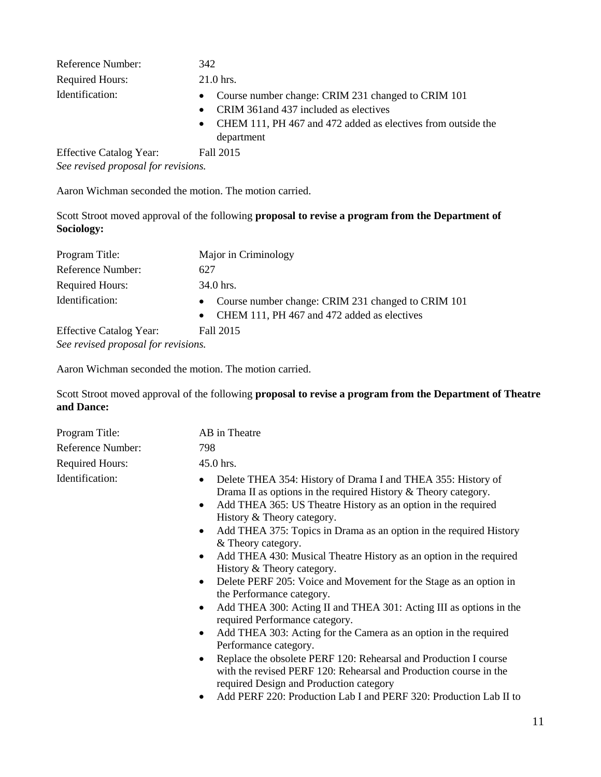| Reference Number:                   | 342                                                                                                                                                                                                               |
|-------------------------------------|-------------------------------------------------------------------------------------------------------------------------------------------------------------------------------------------------------------------|
| <b>Required Hours:</b>              | $21.0$ hrs.                                                                                                                                                                                                       |
| Identification:                     | Course number change: CRIM 231 changed to CRIM 101<br>$\bullet$<br>CRIM 361 and 437 included as electives<br>$\bullet$<br>CHEM 111, PH 467 and 472 added as electives from outside the<br>$\bullet$<br>department |
| <b>Effective Catalog Year:</b>      | Fall 2015                                                                                                                                                                                                         |
| See revised proposal for revisions. |                                                                                                                                                                                                                   |

Aaron Wichman seconded the motion. The motion carried.

Scott Stroot moved approval of the following **proposal to revise a program from the Department of Sociology:**

| Program Title:                      | Major in Criminology                                                                                                        |
|-------------------------------------|-----------------------------------------------------------------------------------------------------------------------------|
| Reference Number:                   | 627                                                                                                                         |
| <b>Required Hours:</b>              | 34.0 hrs.                                                                                                                   |
| Identification:                     | Course number change: CRIM 231 changed to CRIM 101<br>$\bullet$<br>CHEM 111, PH 467 and 472 added as electives<br>$\bullet$ |
| <b>Effective Catalog Year:</b>      | Fall 2015                                                                                                                   |
| See revised proposal for revisions. |                                                                                                                             |

Aaron Wichman seconded the motion. The motion carried.

Scott Stroot moved approval of the following **proposal to revise a program from the Department of Theatre and Dance:**

| Program Title:         | AB in Theatre                                                                                                                                                                                                                                                                                                                                                                                                                                                                                                                                                                                                                                                                                                                                                                                                                                                                                                                                                                                                                                                     |  |
|------------------------|-------------------------------------------------------------------------------------------------------------------------------------------------------------------------------------------------------------------------------------------------------------------------------------------------------------------------------------------------------------------------------------------------------------------------------------------------------------------------------------------------------------------------------------------------------------------------------------------------------------------------------------------------------------------------------------------------------------------------------------------------------------------------------------------------------------------------------------------------------------------------------------------------------------------------------------------------------------------------------------------------------------------------------------------------------------------|--|
| Reference Number:      | 798                                                                                                                                                                                                                                                                                                                                                                                                                                                                                                                                                                                                                                                                                                                                                                                                                                                                                                                                                                                                                                                               |  |
| <b>Required Hours:</b> | 45.0 hrs.                                                                                                                                                                                                                                                                                                                                                                                                                                                                                                                                                                                                                                                                                                                                                                                                                                                                                                                                                                                                                                                         |  |
| Identification:        | Delete THEA 354: History of Drama I and THEA 355: History of<br>Drama II as options in the required History $\&$ Theory category.<br>Add THEA 365: US Theatre History as an option in the required<br>$\bullet$<br>History & Theory category.<br>Add THEA 375: Topics in Drama as an option in the required History<br>$\bullet$<br>& Theory category.<br>Add THEA 430: Musical Theatre History as an option in the required<br>History & Theory category.<br>Delete PERF 205: Voice and Movement for the Stage as an option in<br>$\bullet$<br>the Performance category.<br>Add THEA 300: Acting II and THEA 301: Acting III as options in the<br>$\bullet$<br>required Performance category.<br>Add THEA 303: Acting for the Camera as an option in the required<br>$\bullet$<br>Performance category.<br>Replace the obsolete PERF 120: Rehearsal and Production I course<br>with the revised PERF 120: Rehearsal and Production course in the<br>required Design and Production category<br>Add PERF 220: Production Lab I and PERF 320: Production Lab II to |  |